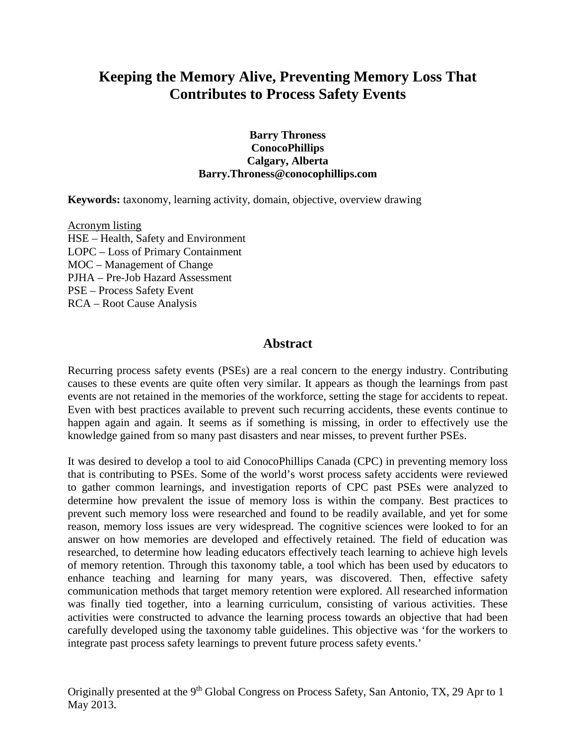# **Keeping the Memory Alive, Preventing Memory Loss That Contributes to Process Safety Events**

#### **Barry Throness ConocoPhillips Calgary, Alberta Barry.Throness@conocophillips.com**

**Keywords:** taxonomy, learning activity, domain, objective, overview drawing

Acronym listing HSE – Health, Safety and Environment LOPC – Loss of Primary Containment MOC – Management of Change PJHA – Pre-Job Hazard Assessment PSE – Process Safety Event RCA – Root Cause Analysis

### **Abstract**

Recurring process safety events (PSEs) are a real concern to the energy industry. Contributing causes to these events are quite often very similar. It appears as though the learnings from past events are not retained in the memories of the workforce, setting the stage for accidents to repeat. Even with best practices available to prevent such recurring accidents, these events continue to happen again and again. It seems as if something is missing, in order to effectively use the knowledge gained from so many past disasters and near misses, to prevent further PSEs.

It was desired to develop a tool to aid ConocoPhillips Canada (CPC) in preventing memory loss that is contributing to PSEs. Some of the world's worst process safety accidents were reviewed to gather common learnings, and investigation reports of CPC past PSEs were analyzed to determine how prevalent the issue of memory loss is within the company. Best practices to prevent such memory loss were researched and found to be readily available, and yet for some reason, memory loss issues are very widespread. The cognitive sciences were looked to for an answer on how memories are developed and effectively retained. The field of education was researched, to determine how leading educators effectively teach learning to achieve high levels of memory retention. Through this taxonomy table, a tool which has been used by educators to enhance teaching and learning for many years, was discovered. Then, effective safety communication methods that target memory retention were explored. All researched information was finally tied together, into a learning curriculum, consisting of various activities. These activities were constructed to advance the learning process towards an objective that had been carefully developed using the taxonomy table guidelines. This objective was 'for the workers to integrate past process safety learnings to prevent future process safety events.'

Originally presented at the 9<sup>th</sup> Global Congress on Process Safety, San Antonio, TX, 29 Apr to 1 May 2013.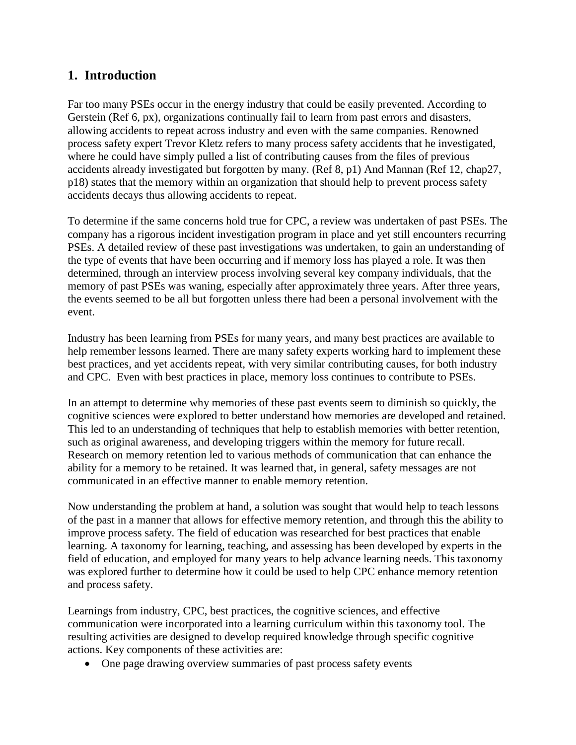## **1. Introduction**

Far too many PSEs occur in the energy industry that could be easily prevented. According to Gerstein (Ref 6, px), organizations continually fail to learn from past errors and disasters, allowing accidents to repeat across industry and even with the same companies. Renowned process safety expert Trevor Kletz refers to many process safety accidents that he investigated, where he could have simply pulled a list of contributing causes from the files of previous accidents already investigated but forgotten by many. (Ref 8, p1) And Mannan (Ref 12, chap27, p18) states that the memory within an organization that should help to prevent process safety accidents decays thus allowing accidents to repeat.

To determine if the same concerns hold true for CPC, a review was undertaken of past PSEs. The company has a rigorous incident investigation program in place and yet still encounters recurring PSEs. A detailed review of these past investigations was undertaken, to gain an understanding of the type of events that have been occurring and if memory loss has played a role. It was then determined, through an interview process involving several key company individuals, that the memory of past PSEs was waning, especially after approximately three years. After three years, the events seemed to be all but forgotten unless there had been a personal involvement with the event.

Industry has been learning from PSEs for many years, and many best practices are available to help remember lessons learned. There are many safety experts working hard to implement these best practices, and yet accidents repeat, with very similar contributing causes, for both industry and CPC. Even with best practices in place, memory loss continues to contribute to PSEs.

In an attempt to determine why memories of these past events seem to diminish so quickly, the cognitive sciences were explored to better understand how memories are developed and retained. This led to an understanding of techniques that help to establish memories with better retention, such as original awareness, and developing triggers within the memory for future recall. Research on memory retention led to various methods of communication that can enhance the ability for a memory to be retained. It was learned that, in general, safety messages are not communicated in an effective manner to enable memory retention.

Now understanding the problem at hand, a solution was sought that would help to teach lessons of the past in a manner that allows for effective memory retention, and through this the ability to improve process safety. The field of education was researched for best practices that enable learning. A taxonomy for learning, teaching, and assessing has been developed by experts in the field of education, and employed for many years to help advance learning needs. This taxonomy was explored further to determine how it could be used to help CPC enhance memory retention and process safety.

Learnings from industry, CPC, best practices, the cognitive sciences, and effective communication were incorporated into a learning curriculum within this taxonomy tool. The resulting activities are designed to develop required knowledge through specific cognitive actions. Key components of these activities are:

• One page drawing overview summaries of past process safety events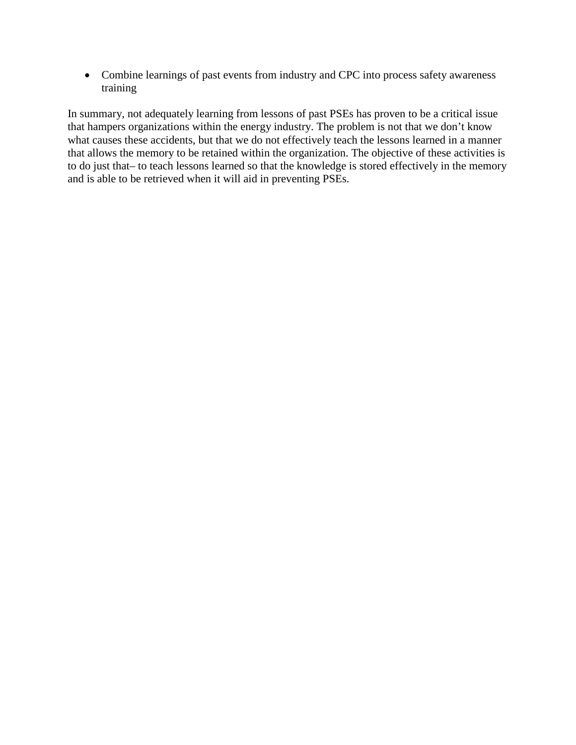• Combine learnings of past events from industry and CPC into process safety awareness training

In summary, not adequately learning from lessons of past PSEs has proven to be a critical issue that hampers organizations within the energy industry. The problem is not that we don't know what causes these accidents, but that we do not effectively teach the lessons learned in a manner that allows the memory to be retained within the organization. The objective of these activities is to do just that– to teach lessons learned so that the knowledge is stored effectively in the memory and is able to be retrieved when it will aid in preventing PSEs.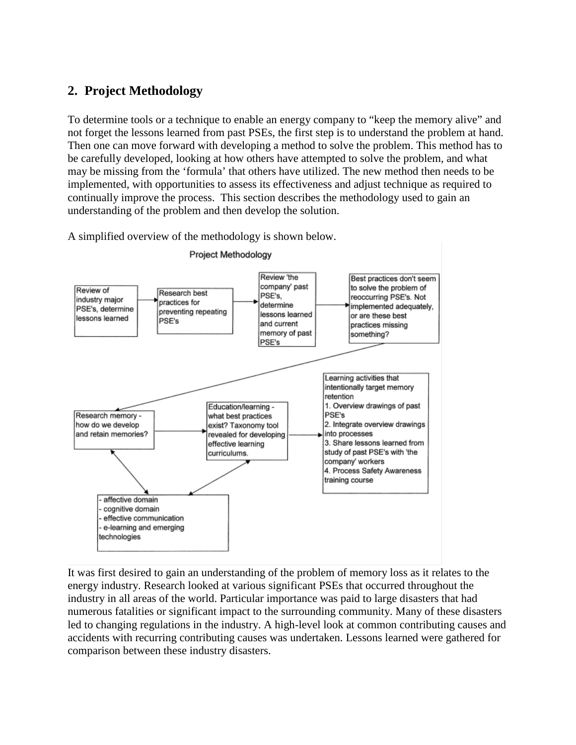## **2. Project Methodology**

To determine tools or a technique to enable an energy company to "keep the memory alive" and not forget the lessons learned from past PSEs, the first step is to understand the problem at hand. Then one can move forward with developing a method to solve the problem. This method has to be carefully developed, looking at how others have attempted to solve the problem, and what may be missing from the 'formula' that others have utilized. The new method then needs to be implemented, with opportunities to assess its effectiveness and adjust technique as required to continually improve the process. This section describes the methodology used to gain an understanding of the problem and then develop the solution.



A simplified overview of the methodology is shown below.

It was first desired to gain an understanding of the problem of memory loss as it relates to the energy industry. Research looked at various significant PSEs that occurred throughout the industry in all areas of the world. Particular importance was paid to large disasters that had numerous fatalities or significant impact to the surrounding community. Many of these disasters led to changing regulations in the industry. A high-level look at common contributing causes and accidents with recurring contributing causes was undertaken. Lessons learned were gathered for comparison between these industry disasters.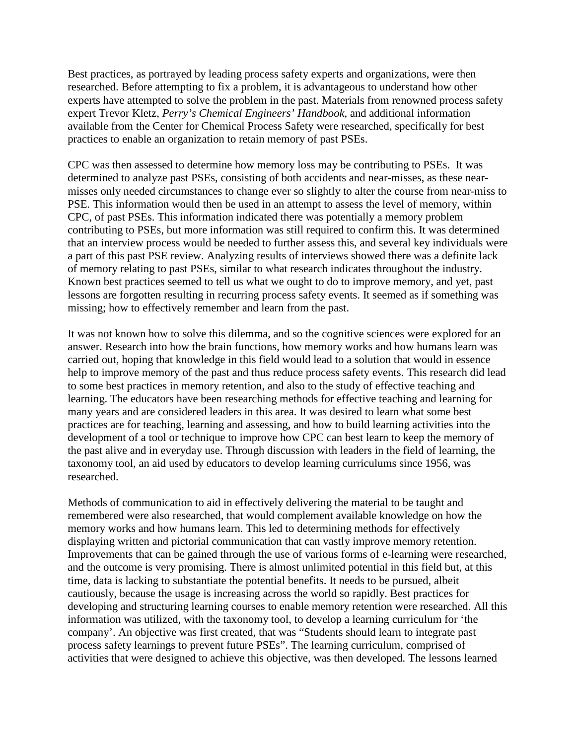Best practices, as portrayed by leading process safety experts and organizations, were then researched. Before attempting to fix a problem, it is advantageous to understand how other experts have attempted to solve the problem in the past. Materials from renowned process safety expert Trevor Kletz, *Perry's Chemical Engineers' Handbook*, and additional information available from the Center for Chemical Process Safety were researched, specifically for best practices to enable an organization to retain memory of past PSEs.

CPC was then assessed to determine how memory loss may be contributing to PSEs. It was determined to analyze past PSEs, consisting of both accidents and near-misses, as these nearmisses only needed circumstances to change ever so slightly to alter the course from near-miss to PSE. This information would then be used in an attempt to assess the level of memory, within CPC, of past PSEs. This information indicated there was potentially a memory problem contributing to PSEs, but more information was still required to confirm this. It was determined that an interview process would be needed to further assess this, and several key individuals were a part of this past PSE review. Analyzing results of interviews showed there was a definite lack of memory relating to past PSEs, similar to what research indicates throughout the industry. Known best practices seemed to tell us what we ought to do to improve memory, and yet, past lessons are forgotten resulting in recurring process safety events. It seemed as if something was missing; how to effectively remember and learn from the past.

It was not known how to solve this dilemma, and so the cognitive sciences were explored for an answer. Research into how the brain functions, how memory works and how humans learn was carried out, hoping that knowledge in this field would lead to a solution that would in essence help to improve memory of the past and thus reduce process safety events. This research did lead to some best practices in memory retention, and also to the study of effective teaching and learning. The educators have been researching methods for effective teaching and learning for many years and are considered leaders in this area. It was desired to learn what some best practices are for teaching, learning and assessing, and how to build learning activities into the development of a tool or technique to improve how CPC can best learn to keep the memory of the past alive and in everyday use. Through discussion with leaders in the field of learning, the taxonomy tool, an aid used by educators to develop learning curriculums since 1956, was researched.

Methods of communication to aid in effectively delivering the material to be taught and remembered were also researched, that would complement available knowledge on how the memory works and how humans learn. This led to determining methods for effectively displaying written and pictorial communication that can vastly improve memory retention. Improvements that can be gained through the use of various forms of e-learning were researched, and the outcome is very promising. There is almost unlimited potential in this field but, at this time, data is lacking to substantiate the potential benefits. It needs to be pursued, albeit cautiously, because the usage is increasing across the world so rapidly. Best practices for developing and structuring learning courses to enable memory retention were researched. All this information was utilized, with the taxonomy tool, to develop a learning curriculum for 'the company'. An objective was first created, that was "Students should learn to integrate past process safety learnings to prevent future PSEs". The learning curriculum, comprised of activities that were designed to achieve this objective, was then developed. The lessons learned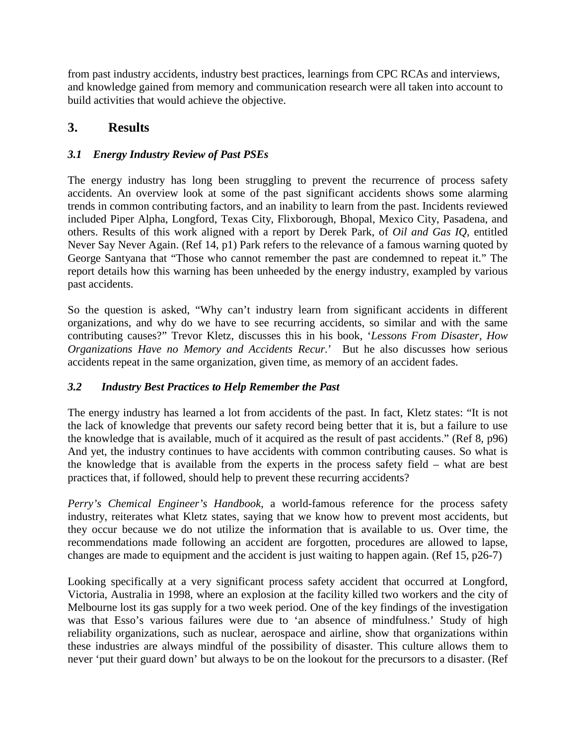from past industry accidents, industry best practices, learnings from CPC RCAs and interviews, and knowledge gained from memory and communication research were all taken into account to build activities that would achieve the objective.

## **3. Results**

### *3.1 Energy Industry Review of Past PSEs*

The energy industry has long been struggling to prevent the recurrence of process safety accidents. An overview look at some of the past significant accidents shows some alarming trends in common contributing factors, and an inability to learn from the past. Incidents reviewed included Piper Alpha, Longford, Texas City, Flixborough, Bhopal, Mexico City, Pasadena, and others. Results of this work aligned with a report by Derek Park, of *Oil and Gas IQ*, entitled Never Say Never Again. (Ref 14, p1) Park refers to the relevance of a famous warning quoted by George Santyana that "Those who cannot remember the past are condemned to repeat it." The report details how this warning has been unheeded by the energy industry, exampled by various past accidents.

So the question is asked, "Why can't industry learn from significant accidents in different organizations, and why do we have to see recurring accidents, so similar and with the same contributing causes?" Trevor Kletz, discusses this in his book, '*Lessons From Disaster, How Organizations Have no Memory and Accidents Recur.*' But he also discusses how serious accidents repeat in the same organization, given time, as memory of an accident fades.

## *3.2 Industry Best Practices to Help Remember the Past*

The energy industry has learned a lot from accidents of the past. In fact, Kletz states: "It is not the lack of knowledge that prevents our safety record being better that it is, but a failure to use the knowledge that is available, much of it acquired as the result of past accidents." (Ref 8, p96) And yet, the industry continues to have accidents with common contributing causes. So what is the knowledge that is available from the experts in the process safety field – what are best practices that, if followed, should help to prevent these recurring accidents?

*Perry's Chemical Engineer's Handbook*, a world-famous reference for the process safety industry, reiterates what Kletz states, saying that we know how to prevent most accidents, but they occur because we do not utilize the information that is available to us. Over time, the recommendations made following an accident are forgotten, procedures are allowed to lapse, changes are made to equipment and the accident is just waiting to happen again. (Ref 15, p26-7)

Looking specifically at a very significant process safety accident that occurred at Longford, Victoria, Australia in 1998, where an explosion at the facility killed two workers and the city of Melbourne lost its gas supply for a two week period. One of the key findings of the investigation was that Esso's various failures were due to 'an absence of mindfulness.' Study of high reliability organizations, such as nuclear, aerospace and airline, show that organizations within these industries are always mindful of the possibility of disaster. This culture allows them to never 'put their guard down' but always to be on the lookout for the precursors to a disaster. (Ref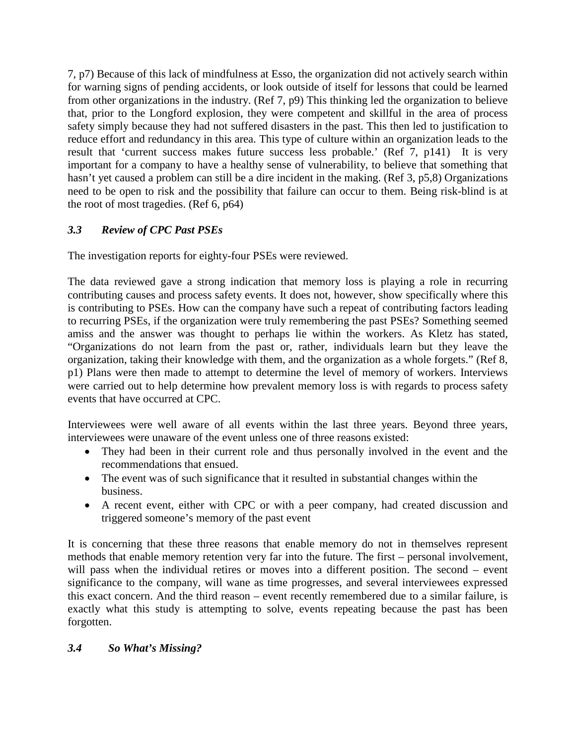7, p7) Because of this lack of mindfulness at Esso, the organization did not actively search within for warning signs of pending accidents, or look outside of itself for lessons that could be learned from other organizations in the industry. (Ref 7, p9) This thinking led the organization to believe that, prior to the Longford explosion, they were competent and skillful in the area of process safety simply because they had not suffered disasters in the past. This then led to justification to reduce effort and redundancy in this area. This type of culture within an organization leads to the result that 'current success makes future success less probable.' (Ref 7, p141) It is very important for a company to have a healthy sense of vulnerability, to believe that something that hasn't yet caused a problem can still be a dire incident in the making. (Ref 3, p5,8) Organizations need to be open to risk and the possibility that failure can occur to them. Being risk-blind is at the root of most tragedies. (Ref 6, p64)

## *3.3 Review of CPC Past PSEs*

The investigation reports for eighty-four PSEs were reviewed.

The data reviewed gave a strong indication that memory loss is playing a role in recurring contributing causes and process safety events. It does not, however, show specifically where this is contributing to PSEs. How can the company have such a repeat of contributing factors leading to recurring PSEs, if the organization were truly remembering the past PSEs? Something seemed amiss and the answer was thought to perhaps lie within the workers. As Kletz has stated, "Organizations do not learn from the past or, rather, individuals learn but they leave the organization, taking their knowledge with them, and the organization as a whole forgets." (Ref 8, p1) Plans were then made to attempt to determine the level of memory of workers. Interviews were carried out to help determine how prevalent memory loss is with regards to process safety events that have occurred at CPC.

Interviewees were well aware of all events within the last three years. Beyond three years, interviewees were unaware of the event unless one of three reasons existed:

- They had been in their current role and thus personally involved in the event and the recommendations that ensued.
- The event was of such significance that it resulted in substantial changes within the business.
- A recent event, either with CPC or with a peer company, had created discussion and triggered someone's memory of the past event

It is concerning that these three reasons that enable memory do not in themselves represent methods that enable memory retention very far into the future. The first – personal involvement, will pass when the individual retires or moves into a different position. The second – event significance to the company, will wane as time progresses, and several interviewees expressed this exact concern. And the third reason – event recently remembered due to a similar failure, is exactly what this study is attempting to solve, events repeating because the past has been forgotten.

### *3.4 So What's Missing?*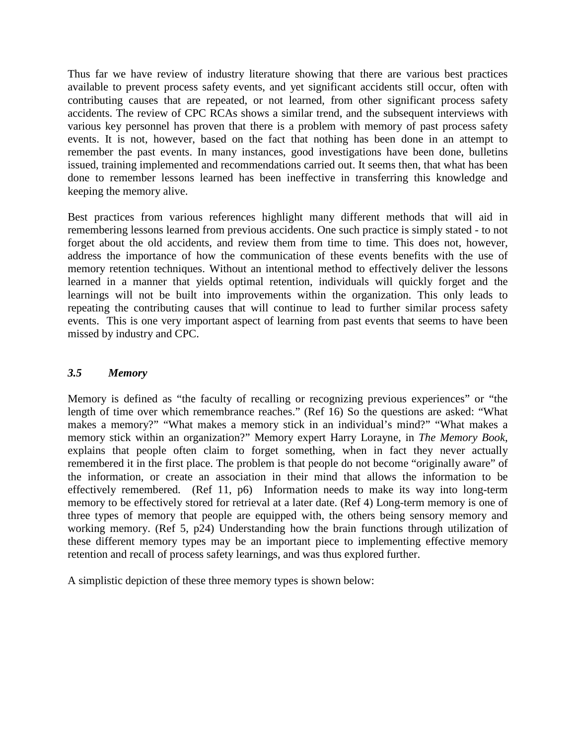Thus far we have review of industry literature showing that there are various best practices available to prevent process safety events, and yet significant accidents still occur, often with contributing causes that are repeated, or not learned, from other significant process safety accidents. The review of CPC RCAs shows a similar trend, and the subsequent interviews with various key personnel has proven that there is a problem with memory of past process safety events. It is not, however, based on the fact that nothing has been done in an attempt to remember the past events. In many instances, good investigations have been done, bulletins issued, training implemented and recommendations carried out. It seems then, that what has been done to remember lessons learned has been ineffective in transferring this knowledge and keeping the memory alive.

Best practices from various references highlight many different methods that will aid in remembering lessons learned from previous accidents. One such practice is simply stated - to not forget about the old accidents, and review them from time to time. This does not, however, address the importance of how the communication of these events benefits with the use of memory retention techniques. Without an intentional method to effectively deliver the lessons learned in a manner that yields optimal retention, individuals will quickly forget and the learnings will not be built into improvements within the organization. This only leads to repeating the contributing causes that will continue to lead to further similar process safety events. This is one very important aspect of learning from past events that seems to have been missed by industry and CPC.

### *3.5 Memory*

Memory is defined as "the faculty of recalling or recognizing previous experiences" or "the length of time over which remembrance reaches." (Ref 16) So the questions are asked: "What makes a memory?" "What makes a memory stick in an individual's mind?" "What makes a memory stick within an organization?" Memory expert Harry Lorayne, in *The Memory Book*, explains that people often claim to forget something, when in fact they never actually remembered it in the first place. The problem is that people do not become "originally aware" of the information, or create an association in their mind that allows the information to be effectively remembered. (Ref 11, p6) Information needs to make its way into long-term memory to be effectively stored for retrieval at a later date. (Ref 4) Long-term memory is one of three types of memory that people are equipped with, the others being sensory memory and working memory. (Ref 5, p24) Understanding how the brain functions through utilization of these different memory types may be an important piece to implementing effective memory retention and recall of process safety learnings, and was thus explored further.

A simplistic depiction of these three memory types is shown below: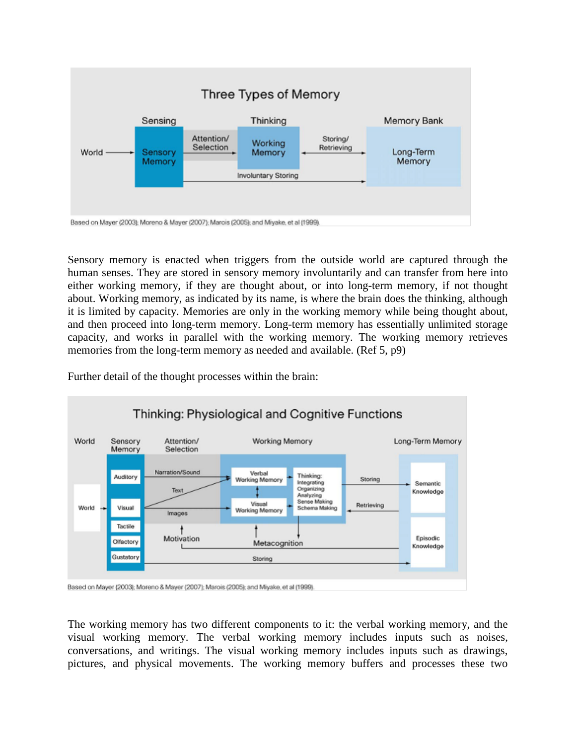

Sensory memory is enacted when triggers from the outside world are captured through the human senses. They are stored in sensory memory involuntarily and can transfer from here into either working memory, if they are thought about, or into long-term memory, if not thought about. Working memory, as indicated by its name, is where the brain does the thinking, although it is limited by capacity. Memories are only in the working memory while being thought about, and then proceed into long-term memory. Long-term memory has essentially unlimited storage capacity, and works in parallel with the working memory. The working memory retrieves memories from the long-term memory as needed and available. (Ref 5, p9)

Further detail of the thought processes within the brain:



Based on Mayer (2003); Moreno & Mayer (2007); Marois (2005); and Miyake, et al (1999).

The working memory has two different components to it: the verbal working memory, and the visual working memory. The verbal working memory includes inputs such as noises, conversations, and writings. The visual working memory includes inputs such as drawings, pictures, and physical movements. The working memory buffers and processes these two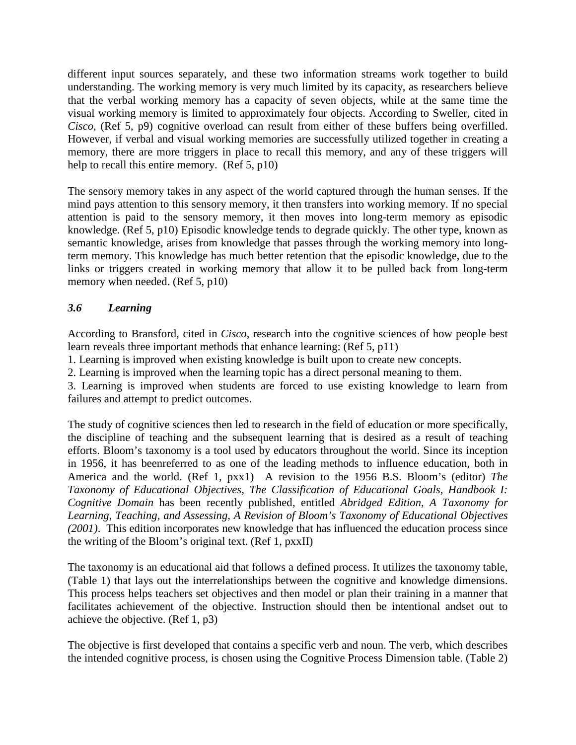different input sources separately, and these two information streams work together to build understanding. The working memory is very much limited by its capacity, as researchers believe that the verbal working memory has a capacity of seven objects, while at the same time the visual working memory is limited to approximately four objects. According to Sweller, cited in *Cisco*, (Ref 5, p9) cognitive overload can result from either of these buffers being overfilled. However, if verbal and visual working memories are successfully utilized together in creating a memory, there are more triggers in place to recall this memory, and any of these triggers will help to recall this entire memory. (Ref 5, p10)

The sensory memory takes in any aspect of the world captured through the human senses. If the mind pays attention to this sensory memory, it then transfers into working memory. If no special attention is paid to the sensory memory, it then moves into long-term memory as episodic knowledge. (Ref 5, p10) Episodic knowledge tends to degrade quickly. The other type, known as semantic knowledge, arises from knowledge that passes through the working memory into longterm memory. This knowledge has much better retention that the episodic knowledge, due to the links or triggers created in working memory that allow it to be pulled back from long-term memory when needed. (Ref 5, p10)

## *3.6 Learning*

According to Bransford, cited in *Cisco*, research into the cognitive sciences of how people best learn reveals three important methods that enhance learning: (Ref 5, p11)

1. Learning is improved when existing knowledge is built upon to create new concepts.

2. Learning is improved when the learning topic has a direct personal meaning to them.

3. Learning is improved when students are forced to use existing knowledge to learn from failures and attempt to predict outcomes.

The study of cognitive sciences then led to research in the field of education or more specifically, the discipline of teaching and the subsequent learning that is desired as a result of teaching efforts. Bloom's taxonomy is a tool used by educators throughout the world. Since its inception in 1956, it has beenreferred to as one of the leading methods to influence education, both in America and the world. (Ref 1, pxx1) A revision to the 1956 B.S. Bloom's (editor) *The Taxonomy of Educational Objectives, The Classification of Educational Goals, Handbook I: Cognitive Domain* has been recently published, entitled *Abridged Edition, A Taxonomy for Learning, Teaching, and Assessing, A Revision of Bloom's Taxonomy of Educational Objectives (2001)*. This edition incorporates new knowledge that has influenced the education process since the writing of the Bloom's original text. (Ref 1, pxxII)

The taxonomy is an educational aid that follows a defined process. It utilizes the taxonomy table, (Table 1) that lays out the interrelationships between the cognitive and knowledge dimensions. This process helps teachers set objectives and then model or plan their training in a manner that facilitates achievement of the objective. Instruction should then be intentional andset out to achieve the objective. (Ref 1, p3)

The objective is first developed that contains a specific verb and noun. The verb, which describes the intended cognitive process, is chosen using the Cognitive Process Dimension table. (Table 2)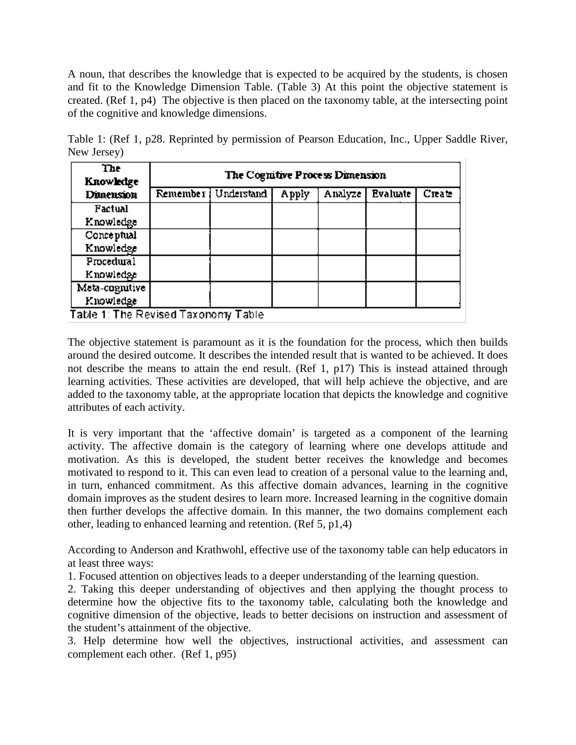A noun, that describes the knowledge that is expected to be acquired by the students, is chosen and fit to the Knowledge Dimension Table. (Table 3) At this point the objective statement is created. (Ref 1, p4) The objective is then placed on the taxonomy table, at the intersecting point of the cognitive and knowledge dimensions.

| Table 1: (Ref 1, p28. Reprinted by permission of Pearson Education, Inc., Upper Saddle River, |  |  |  |  |
|-----------------------------------------------------------------------------------------------|--|--|--|--|
| New Jersey)                                                                                   |  |  |  |  |

| The Cognitive Process Dimension |  |                                                     |         |                 |        |  |  |
|---------------------------------|--|-----------------------------------------------------|---------|-----------------|--------|--|--|
|                                 |  | Apply                                               | Analyze | <b>Evaluate</b> | Create |  |  |
|                                 |  |                                                     |         |                 |        |  |  |
|                                 |  |                                                     |         |                 |        |  |  |
|                                 |  |                                                     |         |                 |        |  |  |
|                                 |  |                                                     |         |                 |        |  |  |
|                                 |  |                                                     |         |                 |        |  |  |
|                                 |  |                                                     |         |                 |        |  |  |
|                                 |  |                                                     |         |                 |        |  |  |
|                                 |  |                                                     |         |                 |        |  |  |
|                                 |  | Remember   Understand<br>ティレイ・ストテレン あっしょう イティー・ショーン |         |                 |        |  |  |

Table 1: The Revised Taxonomy Table

The objective statement is paramount as it is the foundation for the process, which then builds around the desired outcome. It describes the intended result that is wanted to be achieved. It does not describe the means to attain the end result. (Ref 1, p17) This is instead attained through learning activities. These activities are developed, that will help achieve the objective, and are added to the taxonomy table, at the appropriate location that depicts the knowledge and cognitive attributes of each activity.

It is very important that the 'affective domain' is targeted as a component of the learning activity. The affective domain is the category of learning where one develops attitude and motivation. As this is developed, the student better receives the knowledge and becomes motivated to respond to it. This can even lead to creation of a personal value to the learning and, in turn, enhanced commitment. As this affective domain advances, learning in the cognitive domain improves as the student desires to learn more. Increased learning in the cognitive domain then further develops the affective domain. In this manner, the two domains complement each other, leading to enhanced learning and retention. (Ref 5, p1,4)

According to Anderson and Krathwohl, effective use of the taxonomy table can help educators in at least three ways:

1. Focused attention on objectives leads to a deeper understanding of the learning question.

2. Taking this deeper understanding of objectives and then applying the thought process to determine how the objective fits to the taxonomy table, calculating both the knowledge and cognitive dimension of the objective, leads to better decisions on instruction and assessment of the student's attainment of the objective.

3. Help determine how well the objectives, instructional activities, and assessment can complement each other. (Ref 1, p95)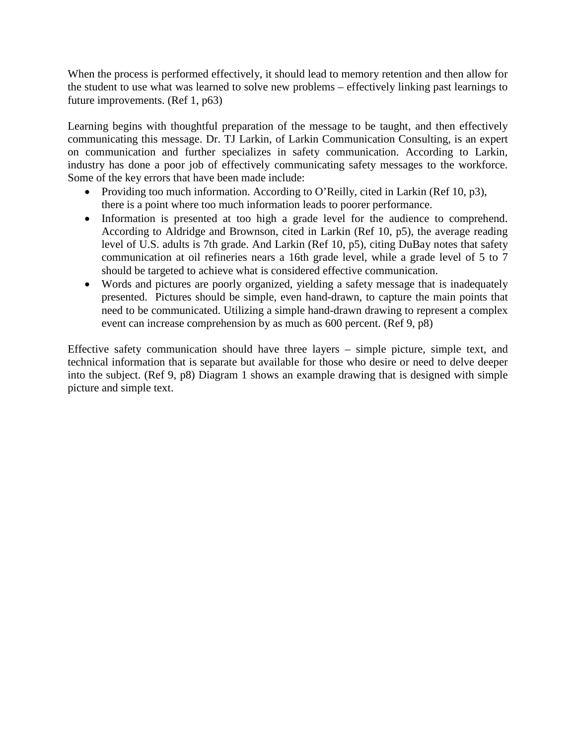When the process is performed effectively, it should lead to memory retention and then allow for the student to use what was learned to solve new problems – effectively linking past learnings to future improvements. (Ref 1, p63)

Learning begins with thoughtful preparation of the message to be taught, and then effectively communicating this message. Dr. TJ Larkin, of Larkin Communication Consulting, is an expert on communication and further specializes in safety communication. According to Larkin, industry has done a poor job of effectively communicating safety messages to the workforce. Some of the key errors that have been made include:

- Providing too much information. According to O'Reilly, cited in Larkin (Ref 10, p3), there is a point where too much information leads to poorer performance.
- Information is presented at too high a grade level for the audience to comprehend. According to Aldridge and Brownson, cited in Larkin (Ref 10, p5), the average reading level of U.S. adults is 7th grade. And Larkin (Ref 10, p5), citing DuBay notes that safety communication at oil refineries nears a 16th grade level, while a grade level of 5 to 7 should be targeted to achieve what is considered effective communication.
- Words and pictures are poorly organized, yielding a safety message that is inadequately presented. Pictures should be simple, even hand-drawn, to capture the main points that need to be communicated. Utilizing a simple hand-drawn drawing to represent a complex event can increase comprehension by as much as  $600$  percent. (Ref 9, p8)

Effective safety communication should have three layers – simple picture, simple text, and technical information that is separate but available for those who desire or need to delve deeper into the subject. (Ref 9, p8) Diagram 1 shows an example drawing that is designed with simple picture and simple text.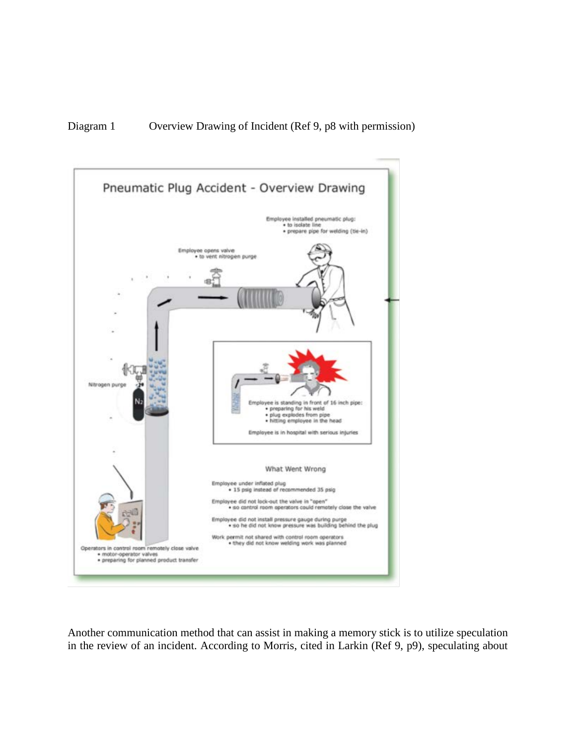#### Diagram 1 Overview Drawing of Incident (Ref 9, p8 with permission)



Another communication method that can assist in making a memory stick is to utilize speculation in the review of an incident. According to Morris, cited in Larkin (Ref 9, p9), speculating about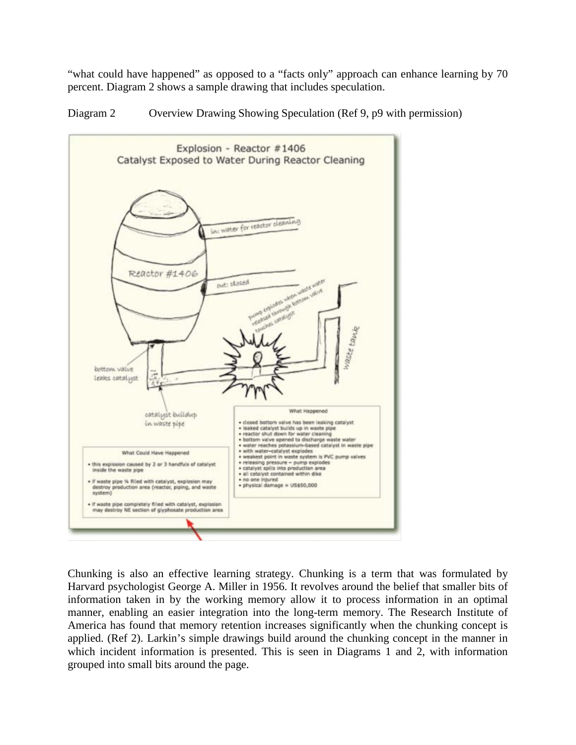"what could have happened" as opposed to a "facts only" approach can enhance learning by 70 percent. Diagram 2 shows a sample drawing that includes speculation.

Diagram 2 Overview Drawing Showing Speculation (Ref 9, p9 with permission)



Chunking is also an effective learning strategy. Chunking is a term that was formulated by Harvard psychologist George A. Miller in 1956. It revolves around the belief that smaller bits of information taken in by the working memory allow it to process information in an optimal manner, enabling an easier integration into the long-term memory. The Research Institute of America has found that memory retention increases significantly when the chunking concept is applied. (Ref 2). Larkin's simple drawings build around the chunking concept in the manner in which incident information is presented. This is seen in Diagrams 1 and 2, with information grouped into small bits around the page.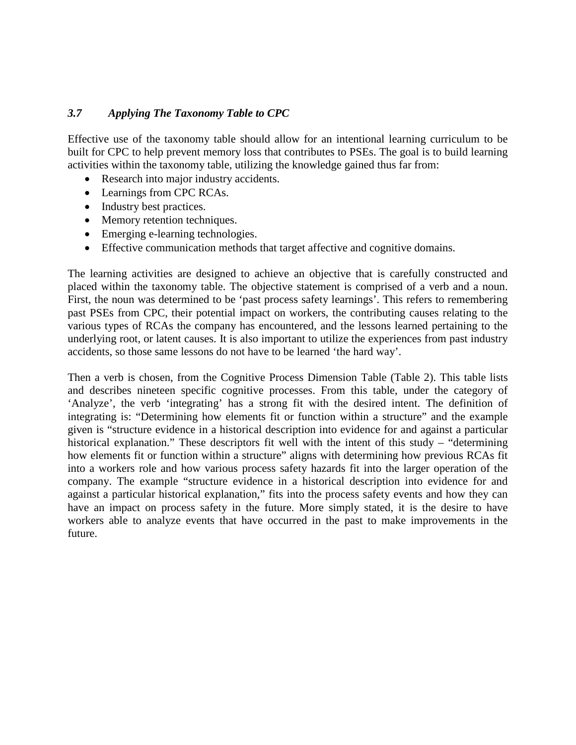### *3.7 Applying The Taxonomy Table to CPC*

Effective use of the taxonomy table should allow for an intentional learning curriculum to be built for CPC to help prevent memory loss that contributes to PSEs. The goal is to build learning activities within the taxonomy table, utilizing the knowledge gained thus far from:

- Research into major industry accidents.
- Learnings from CPC RCAs.
- Industry best practices.
- Memory retention techniques.
- Emerging e-learning technologies.
- Effective communication methods that target affective and cognitive domains.

The learning activities are designed to achieve an objective that is carefully constructed and placed within the taxonomy table. The objective statement is comprised of a verb and a noun. First, the noun was determined to be 'past process safety learnings'. This refers to remembering past PSEs from CPC, their potential impact on workers, the contributing causes relating to the various types of RCAs the company has encountered, and the lessons learned pertaining to the underlying root, or latent causes. It is also important to utilize the experiences from past industry accidents, so those same lessons do not have to be learned 'the hard way'.

Then a verb is chosen, from the Cognitive Process Dimension Table (Table 2). This table lists and describes nineteen specific cognitive processes. From this table, under the category of 'Analyze', the verb 'integrating' has a strong fit with the desired intent. The definition of integrating is: "Determining how elements fit or function within a structure" and the example given is "structure evidence in a historical description into evidence for and against a particular historical explanation." These descriptors fit well with the intent of this study – "determining how elements fit or function within a structure" aligns with determining how previous RCAs fit into a workers role and how various process safety hazards fit into the larger operation of the company. The example "structure evidence in a historical description into evidence for and against a particular historical explanation," fits into the process safety events and how they can have an impact on process safety in the future. More simply stated, it is the desire to have workers able to analyze events that have occurred in the past to make improvements in the future.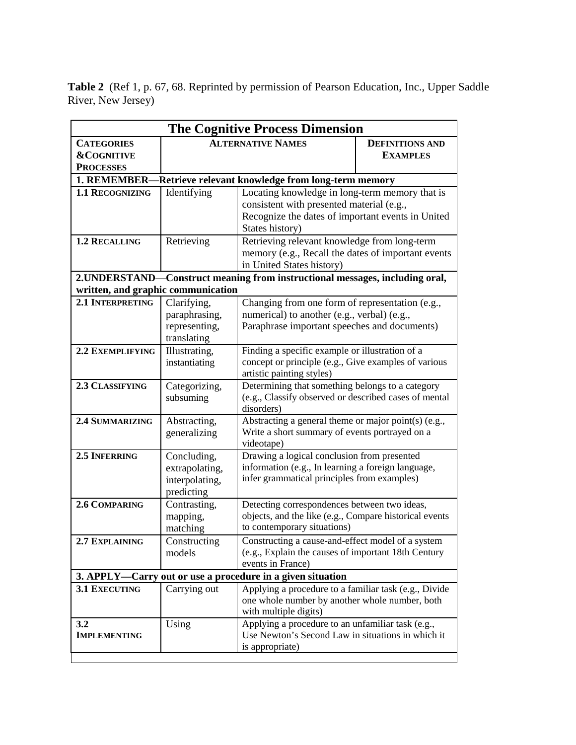**Table 2** (Ref 1, p. 67, 68. Reprinted by permission of Pearson Education, Inc., Upper Saddle River, New Jersey)

| <b>The Cognitive Process Dimension</b>                         |                                                               |                                                                                                                                                                     |  |  |  |  |
|----------------------------------------------------------------|---------------------------------------------------------------|---------------------------------------------------------------------------------------------------------------------------------------------------------------------|--|--|--|--|
| <b>CATEGORIES</b><br><b>&amp;COGNITIVE</b><br><b>PROCESSES</b> | <b>ALTERNATIVE NAMES</b>                                      | <b>DEFINITIONS AND</b><br><b>EXAMPLES</b>                                                                                                                           |  |  |  |  |
|                                                                |                                                               | 1. REMEMBER-Retrieve relevant knowledge from long-term memory                                                                                                       |  |  |  |  |
| 1.1 RECOGNIZING                                                | Identifying                                                   | Locating knowledge in long-term memory that is<br>consistent with presented material (e.g.,<br>Recognize the dates of important events in United<br>States history) |  |  |  |  |
| <b>1.2 RECALLING</b>                                           | Retrieving                                                    | Retrieving relevant knowledge from long-term<br>memory (e.g., Recall the dates of important events<br>in United States history)                                     |  |  |  |  |
| 2.UNDERSTAND-                                                  |                                                               | Construct meaning from instructional messages, including oral,                                                                                                      |  |  |  |  |
| written, and graphic communication                             |                                                               |                                                                                                                                                                     |  |  |  |  |
| 2.1 INTERPRETING                                               | Clarifying,<br>paraphrasing,<br>representing,<br>translating  | Changing from one form of representation (e.g.,<br>numerical) to another (e.g., verbal) (e.g.,<br>Paraphrase important speeches and documents)                      |  |  |  |  |
| 2.2 EXEMPLIFYING                                               | Illustrating,<br>instantiating                                | Finding a specific example or illustration of a<br>concept or principle (e.g., Give examples of various<br>artistic painting styles)                                |  |  |  |  |
| 2.3 CLASSIFYING                                                | Categorizing,<br>subsuming                                    | Determining that something belongs to a category<br>(e.g., Classify observed or described cases of mental<br>disorders)                                             |  |  |  |  |
| 2.4 SUMMARIZING                                                | Abstracting,<br>generalizing                                  | Abstracting a general theme or major point(s) (e.g.,<br>Write a short summary of events portrayed on a<br>videotape)                                                |  |  |  |  |
| 2.5 INFERRING                                                  | Concluding,<br>extrapolating,<br>interpolating,<br>predicting | Drawing a logical conclusion from presented<br>information (e.g., In learning a foreign language,<br>infer grammatical principles from examples)                    |  |  |  |  |
| 2.6 COMPARING                                                  | Contrasting,<br>mapping,<br>matching                          | Detecting correspondences between two ideas,<br>objects, and the like (e.g., Compare historical events<br>to contemporary situations)                               |  |  |  |  |
| 2.7 EXPLAINING                                                 | Constructing<br>models                                        | Constructing a cause-and-effect model of a system<br>(e.g., Explain the causes of important 18th Century<br>events in France)                                       |  |  |  |  |
| 3. APPLY—Carry out or use a procedure in a given situation     |                                                               |                                                                                                                                                                     |  |  |  |  |
| 3.1 EXECUTING                                                  | Carrying out                                                  | Applying a procedure to a familiar task (e.g., Divide<br>one whole number by another whole number, both<br>with multiple digits)                                    |  |  |  |  |
| 3.2<br><b>IMPLEMENTING</b>                                     | Using                                                         | Applying a procedure to an unfamiliar task (e.g.,<br>Use Newton's Second Law in situations in which it<br>is appropriate)                                           |  |  |  |  |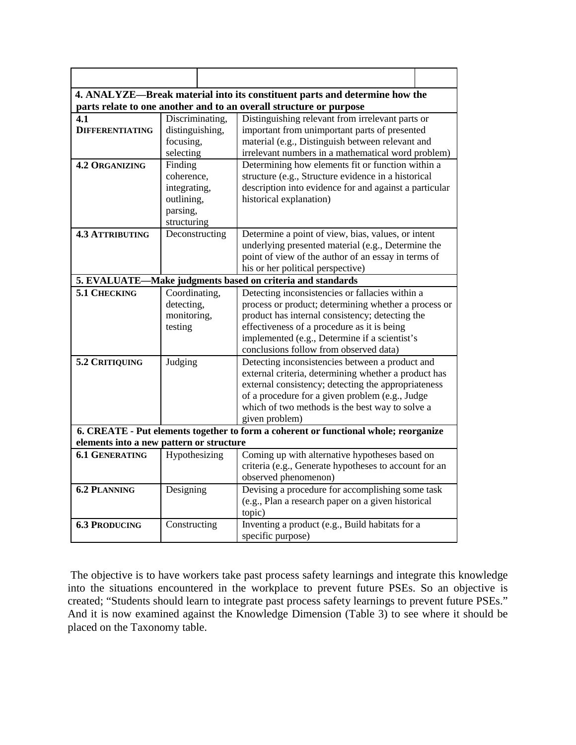|                                                                                                                                  |                                                                                | 4. ANALYZE—Break material into its constituent parts and determine how the                                                                                                                                                                                                                           |  |  |  |  |
|----------------------------------------------------------------------------------------------------------------------------------|--------------------------------------------------------------------------------|------------------------------------------------------------------------------------------------------------------------------------------------------------------------------------------------------------------------------------------------------------------------------------------------------|--|--|--|--|
| parts relate to one another and to an overall structure or purpose                                                               |                                                                                |                                                                                                                                                                                                                                                                                                      |  |  |  |  |
| 4.1<br><b>DIFFERENTIATING</b>                                                                                                    | Discriminating,<br>distinguishing,<br>focusing,<br>selecting                   | Distinguishing relevant from irrelevant parts or<br>important from unimportant parts of presented<br>material (e.g., Distinguish between relevant and<br>irrelevant numbers in a mathematical word problem)                                                                                          |  |  |  |  |
| <b>4.2 ORGANIZING</b>                                                                                                            | Finding<br>coherence,<br>integrating,<br>outlining,<br>parsing,<br>structuring | Determining how elements fit or function within a<br>structure (e.g., Structure evidence in a historical<br>description into evidence for and against a particular<br>historical explanation)                                                                                                        |  |  |  |  |
| <b>4.3 ATTRIBUTING</b>                                                                                                           | Deconstructing                                                                 | Determine a point of view, bias, values, or intent<br>underlying presented material (e.g., Determine the<br>point of view of the author of an essay in terms of<br>his or her political perspective)                                                                                                 |  |  |  |  |
| 5. EVALUATE-                                                                                                                     |                                                                                | Make judgments based on criteria and standards                                                                                                                                                                                                                                                       |  |  |  |  |
| 5.1 CHECKING                                                                                                                     | Coordinating,<br>detecting,<br>monitoring,<br>testing                          | Detecting inconsistencies or fallacies within a<br>process or product; determining whether a process or<br>product has internal consistency; detecting the<br>effectiveness of a procedure as it is being<br>implemented (e.g., Determine if a scientist's<br>conclusions follow from observed data) |  |  |  |  |
| 5.2 CRITIQUING                                                                                                                   | Judging                                                                        | Detecting inconsistencies between a product and<br>external criteria, determining whether a product has<br>external consistency; detecting the appropriateness<br>of a procedure for a given problem (e.g., Judge<br>which of two methods is the best way to solve a<br>given problem)               |  |  |  |  |
| 6. CREATE - Put elements together to form a coherent or functional whole; reorganize<br>elements into a new pattern or structure |                                                                                |                                                                                                                                                                                                                                                                                                      |  |  |  |  |
| <b>6.1 GENERATING</b>                                                                                                            | Hypothesizing                                                                  | Coming up with alternative hypotheses based on<br>criteria (e.g., Generate hypotheses to account for an<br>observed phenomenon)                                                                                                                                                                      |  |  |  |  |
| <b>6.2 PLANNING</b>                                                                                                              | Designing                                                                      | Devising a procedure for accomplishing some task<br>(e.g., Plan a research paper on a given historical<br>topic)                                                                                                                                                                                     |  |  |  |  |
| <b>6.3 PRODUCING</b>                                                                                                             | Constructing                                                                   | Inventing a product (e.g., Build habitats for a<br>specific purpose)                                                                                                                                                                                                                                 |  |  |  |  |

The objective is to have workers take past process safety learnings and integrate this knowledge into the situations encountered in the workplace to prevent future PSEs. So an objective is created; "Students should learn to integrate past process safety learnings to prevent future PSEs." And it is now examined against the Knowledge Dimension (Table 3) to see where it should be placed on the Taxonomy table.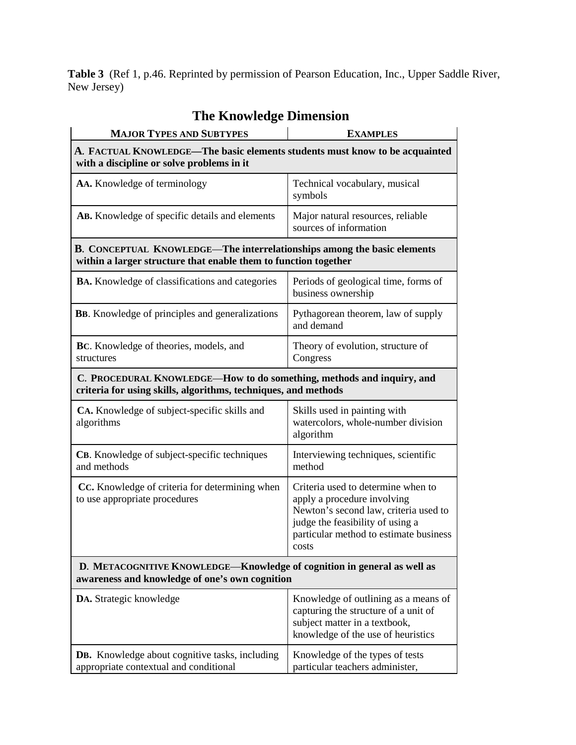**Table 3** (Ref 1, p.46. Reprinted by permission of Pearson Education, Inc., Upper Saddle River, New Jersey)

| <b>The Knowledge Dimension</b>                                                                                                                    |                                                                                                                                                                                                   |  |  |  |  |
|---------------------------------------------------------------------------------------------------------------------------------------------------|---------------------------------------------------------------------------------------------------------------------------------------------------------------------------------------------------|--|--|--|--|
| <b>MAJOR TYPES AND SUBTYPES</b>                                                                                                                   | <b>EXAMPLES</b>                                                                                                                                                                                   |  |  |  |  |
| A. FACTUAL KNOWLEDGE—The basic elements students must know to be acquainted<br>with a discipline or solve problems in it                          |                                                                                                                                                                                                   |  |  |  |  |
| AA. Knowledge of terminology                                                                                                                      | Technical vocabulary, musical<br>symbols                                                                                                                                                          |  |  |  |  |
| AB. Knowledge of specific details and elements                                                                                                    | Major natural resources, reliable<br>sources of information                                                                                                                                       |  |  |  |  |
| <b>B.</b> CONCEPTUAL KNOWLEDGE—The interrelationships among the basic elements<br>within a larger structure that enable them to function together |                                                                                                                                                                                                   |  |  |  |  |
| <b>BA.</b> Knowledge of classifications and categories                                                                                            | Periods of geological time, forms of<br>business ownership                                                                                                                                        |  |  |  |  |
| <b>BB.</b> Knowledge of principles and generalizations                                                                                            | Pythagorean theorem, law of supply<br>and demand                                                                                                                                                  |  |  |  |  |
| BC. Knowledge of theories, models, and<br>structures                                                                                              | Theory of evolution, structure of<br>Congress                                                                                                                                                     |  |  |  |  |
| C. PROCEDURAL KNOWLEDGE—How to do something, methods and inquiry, and<br>criteria for using skills, algorithms, techniques, and methods           |                                                                                                                                                                                                   |  |  |  |  |
| CA. Knowledge of subject-specific skills and<br>algorithms                                                                                        | Skills used in painting with<br>watercolors, whole-number division<br>algorithm                                                                                                                   |  |  |  |  |
| CB. Knowledge of subject-specific techniques<br>and methods                                                                                       | Interviewing techniques, scientific<br>method                                                                                                                                                     |  |  |  |  |
| CC. Knowledge of criteria for determining when<br>to use appropriate procedures                                                                   | Criteria used to determine when to<br>apply a procedure involving<br>Newton's second law, criteria used to<br>judge the feasibility of using a<br>particular method to estimate business<br>costs |  |  |  |  |
| D. METACOGNITIVE KNOWLEDGE—Knowledge of cognition in general as well as<br>awareness and knowledge of one's own cognition                         |                                                                                                                                                                                                   |  |  |  |  |
| DA. Strategic knowledge                                                                                                                           | Knowledge of outlining as a means of<br>capturing the structure of a unit of<br>subject matter in a textbook,<br>knowledge of the use of heuristics                                               |  |  |  |  |
| <b>DB.</b> Knowledge about cognitive tasks, including<br>appropriate contextual and conditional                                                   | Knowledge of the types of tests<br>particular teachers administer,                                                                                                                                |  |  |  |  |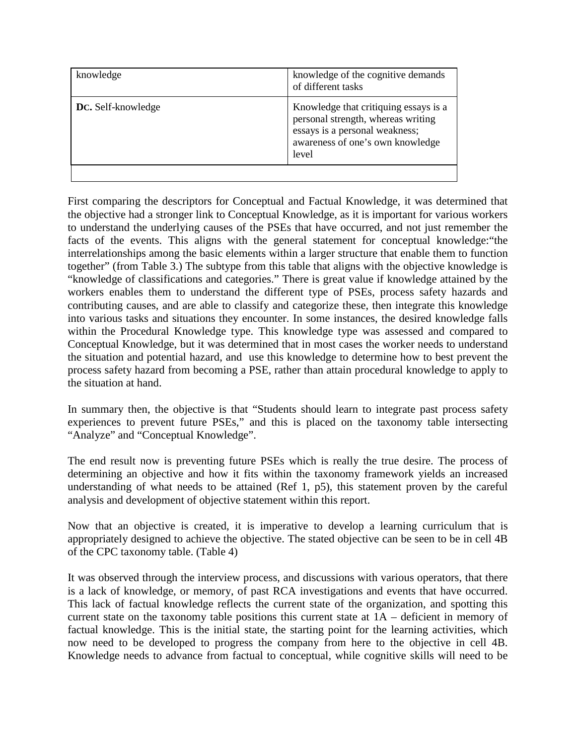| knowledge          | knowledge of the cognitive demands<br>of different tasks                                                                                                   |
|--------------------|------------------------------------------------------------------------------------------------------------------------------------------------------------|
| DC. Self-knowledge | Knowledge that critiquing essays is a<br>personal strength, whereas writing<br>essays is a personal weakness;<br>awareness of one's own knowledge<br>level |
|                    |                                                                                                                                                            |

First comparing the descriptors for Conceptual and Factual Knowledge, it was determined that the objective had a stronger link to Conceptual Knowledge, as it is important for various workers to understand the underlying causes of the PSEs that have occurred, and not just remember the facts of the events. This aligns with the general statement for conceptual knowledge:"the interrelationships among the basic elements within a larger structure that enable them to function together" (from Table 3.) The subtype from this table that aligns with the objective knowledge is "knowledge of classifications and categories." There is great value if knowledge attained by the workers enables them to understand the different type of PSEs, process safety hazards and contributing causes, and are able to classify and categorize these, then integrate this knowledge into various tasks and situations they encounter. In some instances, the desired knowledge falls within the Procedural Knowledge type. This knowledge type was assessed and compared to Conceptual Knowledge, but it was determined that in most cases the worker needs to understand the situation and potential hazard, and use this knowledge to determine how to best prevent the process safety hazard from becoming a PSE, rather than attain procedural knowledge to apply to the situation at hand.

In summary then, the objective is that "Students should learn to integrate past process safety experiences to prevent future PSEs," and this is placed on the taxonomy table intersecting "Analyze" and "Conceptual Knowledge".

The end result now is preventing future PSEs which is really the true desire. The process of determining an objective and how it fits within the taxonomy framework yields an increased understanding of what needs to be attained (Ref 1, p5), this statement proven by the careful analysis and development of objective statement within this report.

Now that an objective is created, it is imperative to develop a learning curriculum that is appropriately designed to achieve the objective. The stated objective can be seen to be in cell 4B of the CPC taxonomy table. (Table 4)

It was observed through the interview process, and discussions with various operators, that there is a lack of knowledge, or memory, of past RCA investigations and events that have occurred. This lack of factual knowledge reflects the current state of the organization, and spotting this current state on the taxonomy table positions this current state at 1A – deficient in memory of factual knowledge. This is the initial state, the starting point for the learning activities, which now need to be developed to progress the company from here to the objective in cell 4B. Knowledge needs to advance from factual to conceptual, while cognitive skills will need to be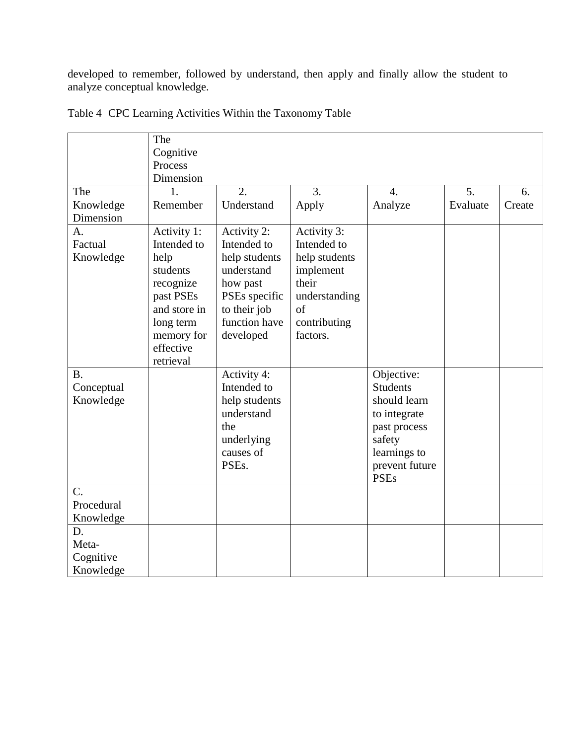developed to remember, followed by understand, then apply and finally allow the student to analyze conceptual knowledge.

|                  | The          |                    |               |                  |          |        |
|------------------|--------------|--------------------|---------------|------------------|----------|--------|
|                  | Cognitive    |                    |               |                  |          |        |
|                  | Process      |                    |               |                  |          |        |
|                  | Dimension    |                    |               |                  |          |        |
| The              | 1.           | 2.                 | 3.            | $\overline{4}$ . | 5.       | 6.     |
| Knowledge        | Remember     | Understand         | Apply         | Analyze          | Evaluate | Create |
| Dimension        |              |                    |               |                  |          |        |
|                  |              |                    |               |                  |          |        |
| A.               | Activity 1:  | Activity 2:        | Activity 3:   |                  |          |        |
| Factual          | Intended to  | Intended to        | Intended to   |                  |          |        |
| Knowledge        | help         | help students      | help students |                  |          |        |
|                  | students     | understand         | implement     |                  |          |        |
|                  | recognize    | how past           | their         |                  |          |        |
|                  | past PSEs    | PSEs specific      | understanding |                  |          |        |
|                  | and store in | to their job       | of            |                  |          |        |
|                  | long term    | function have      | contributing  |                  |          |        |
|                  | memory for   | developed          | factors.      |                  |          |        |
|                  | effective    |                    |               |                  |          |        |
|                  | retrieval    |                    |               |                  |          |        |
| <b>B.</b>        |              | Activity 4:        |               | Objective:       |          |        |
| Conceptual       |              | Intended to        |               | <b>Students</b>  |          |        |
| Knowledge        |              | help students      |               | should learn     |          |        |
|                  |              | understand         |               | to integrate     |          |        |
|                  |              | the                |               | past process     |          |        |
|                  |              | underlying         |               | safety           |          |        |
|                  |              | causes of          |               | learnings to     |          |        |
|                  |              | PSE <sub>s</sub> . |               | prevent future   |          |        |
|                  |              |                    |               | <b>PSEs</b>      |          |        |
| $\overline{C}$ . |              |                    |               |                  |          |        |
| Procedural       |              |                    |               |                  |          |        |
| Knowledge        |              |                    |               |                  |          |        |
| D.               |              |                    |               |                  |          |        |
| Meta-            |              |                    |               |                  |          |        |
| Cognitive        |              |                    |               |                  |          |        |
| Knowledge        |              |                    |               |                  |          |        |

Table 4 CPC Learning Activities Within the Taxonomy Table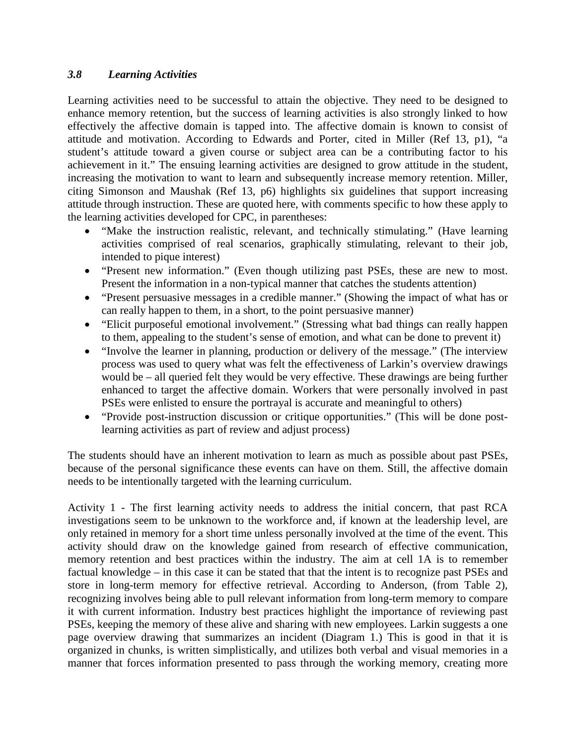### *3.8 Learning Activities*

Learning activities need to be successful to attain the objective. They need to be designed to enhance memory retention, but the success of learning activities is also strongly linked to how effectively the affective domain is tapped into. The affective domain is known to consist of attitude and motivation. According to Edwards and Porter, cited in Miller (Ref 13, p1), "a student's attitude toward a given course or subject area can be a contributing factor to his achievement in it." The ensuing learning activities are designed to grow attitude in the student, increasing the motivation to want to learn and subsequently increase memory retention. Miller, citing Simonson and Maushak (Ref 13, p6) highlights six guidelines that support increasing attitude through instruction. These are quoted here, with comments specific to how these apply to the learning activities developed for CPC, in parentheses:

- "Make the instruction realistic, relevant, and technically stimulating." (Have learning activities comprised of real scenarios, graphically stimulating, relevant to their job, intended to pique interest)
- "Present new information." (Even though utilizing past PSEs, these are new to most. Present the information in a non-typical manner that catches the students attention)
- "Present persuasive messages in a credible manner." (Showing the impact of what has or can really happen to them, in a short, to the point persuasive manner)
- "Elicit purposeful emotional involvement." (Stressing what bad things can really happen to them, appealing to the student's sense of emotion, and what can be done to prevent it)
- "Involve the learner in planning, production or delivery of the message." (The interview process was used to query what was felt the effectiveness of Larkin's overview drawings would be – all queried felt they would be very effective. These drawings are being further enhanced to target the affective domain. Workers that were personally involved in past PSEs were enlisted to ensure the portrayal is accurate and meaningful to others)
- "Provide post-instruction discussion or critique opportunities." (This will be done postlearning activities as part of review and adjust process)

The students should have an inherent motivation to learn as much as possible about past PSEs, because of the personal significance these events can have on them. Still, the affective domain needs to be intentionally targeted with the learning curriculum.

Activity 1 - The first learning activity needs to address the initial concern, that past RCA investigations seem to be unknown to the workforce and, if known at the leadership level, are only retained in memory for a short time unless personally involved at the time of the event. This activity should draw on the knowledge gained from research of effective communication, memory retention and best practices within the industry. The aim at cell 1A is to remember factual knowledge – in this case it can be stated that that the intent is to recognize past PSEs and store in long-term memory for effective retrieval. According to Anderson, (from Table 2), recognizing involves being able to pull relevant information from long-term memory to compare it with current information. Industry best practices highlight the importance of reviewing past PSEs, keeping the memory of these alive and sharing with new employees. Larkin suggests a one page overview drawing that summarizes an incident (Diagram 1.) This is good in that it is organized in chunks, is written simplistically, and utilizes both verbal and visual memories in a manner that forces information presented to pass through the working memory, creating more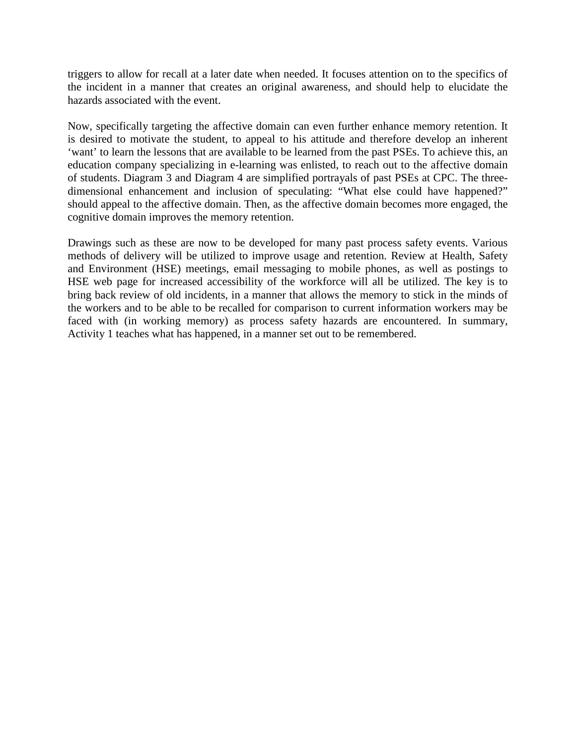triggers to allow for recall at a later date when needed. It focuses attention on to the specifics of the incident in a manner that creates an original awareness, and should help to elucidate the hazards associated with the event.

Now, specifically targeting the affective domain can even further enhance memory retention. It is desired to motivate the student, to appeal to his attitude and therefore develop an inherent 'want' to learn the lessons that are available to be learned from the past PSEs. To achieve this, an education company specializing in e-learning was enlisted, to reach out to the affective domain of students. Diagram 3 and Diagram 4 are simplified portrayals of past PSEs at CPC. The threedimensional enhancement and inclusion of speculating: "What else could have happened?" should appeal to the affective domain. Then, as the affective domain becomes more engaged, the cognitive domain improves the memory retention.

Drawings such as these are now to be developed for many past process safety events. Various methods of delivery will be utilized to improve usage and retention. Review at Health, Safety and Environment (HSE) meetings, email messaging to mobile phones, as well as postings to HSE web page for increased accessibility of the workforce will all be utilized. The key is to bring back review of old incidents, in a manner that allows the memory to stick in the minds of the workers and to be able to be recalled for comparison to current information workers may be faced with (in working memory) as process safety hazards are encountered. In summary, Activity 1 teaches what has happened, in a manner set out to be remembered.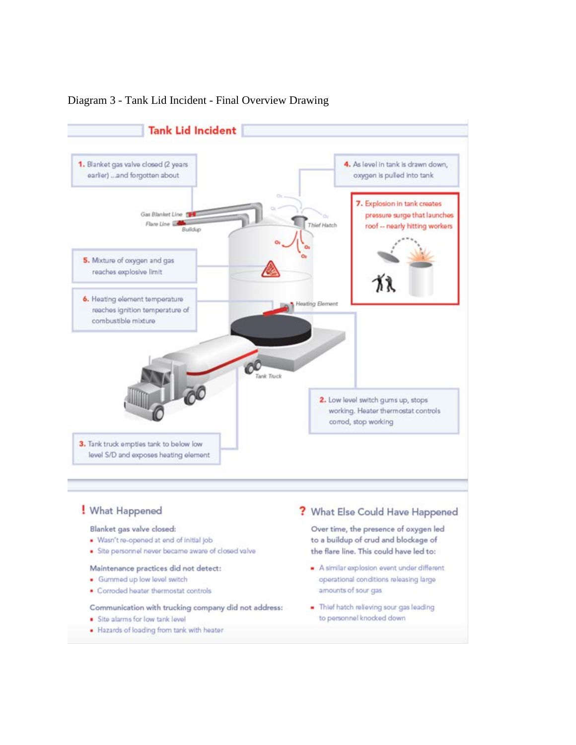

#### Diagram 3 - Tank Lid Incident - Final Overview Drawing

#### ! What Happened

#### Blanket gas valve closed:

- . Wasn't re-opened at end of initial job
- · Site personnel never became aware of closed valve

#### Maintenance practices did not detect:

- · Gummed up low level switch
- Corroded heater thermostat controls

#### Communication with trucking company did not address:

- Site alarms for low tank level
- . Hazards of loading from tank with heater

#### ? What Else Could Have Happened

Over time, the presence of oxygen led to a buildup of crud and blockage of the flare line. This could have led to:

- A similar explosion event under different operational conditions releasing large amounts of sour gas
- . Thief hatch relieving sour gas leading to personnel knocked down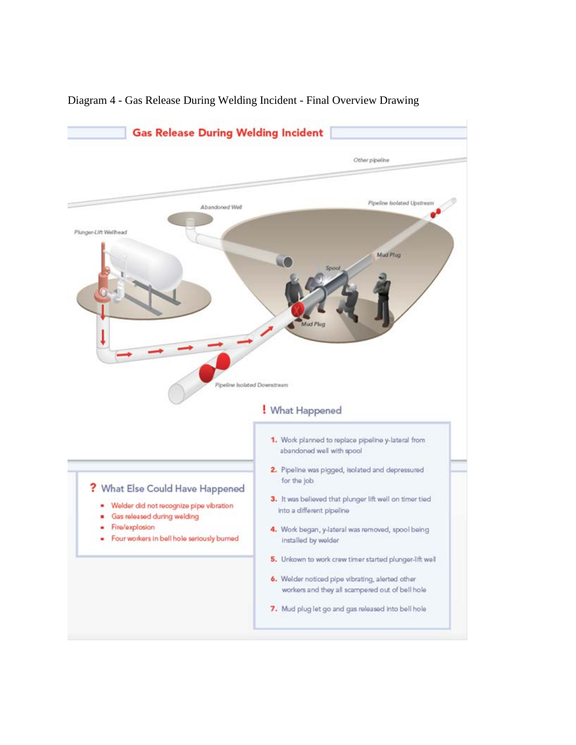

#### Diagram 4 - Gas Release During Welding Incident - Final Overview Drawing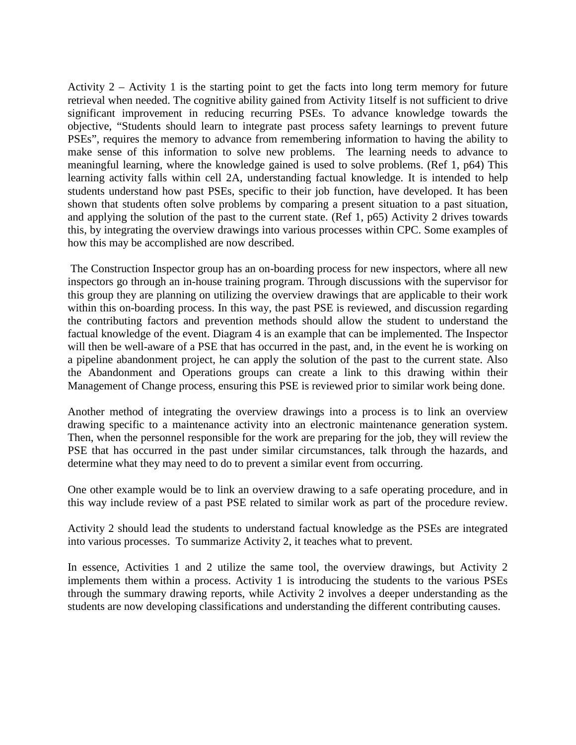Activity 2 – Activity 1 is the starting point to get the facts into long term memory for future retrieval when needed. The cognitive ability gained from Activity 1itself is not sufficient to drive significant improvement in reducing recurring PSEs. To advance knowledge towards the objective, "Students should learn to integrate past process safety learnings to prevent future PSEs", requires the memory to advance from remembering information to having the ability to make sense of this information to solve new problems. The learning needs to advance to meaningful learning, where the knowledge gained is used to solve problems. (Ref 1, p64) This learning activity falls within cell 2A, understanding factual knowledge. It is intended to help students understand how past PSEs, specific to their job function, have developed. It has been shown that students often solve problems by comparing a present situation to a past situation, and applying the solution of the past to the current state. (Ref 1, p65) Activity 2 drives towards this, by integrating the overview drawings into various processes within CPC. Some examples of how this may be accomplished are now described.

The Construction Inspector group has an on-boarding process for new inspectors, where all new inspectors go through an in-house training program. Through discussions with the supervisor for this group they are planning on utilizing the overview drawings that are applicable to their work within this on-boarding process. In this way, the past PSE is reviewed, and discussion regarding the contributing factors and prevention methods should allow the student to understand the factual knowledge of the event. Diagram 4 is an example that can be implemented. The Inspector will then be well-aware of a PSE that has occurred in the past, and, in the event he is working on a pipeline abandonment project, he can apply the solution of the past to the current state. Also the Abandonment and Operations groups can create a link to this drawing within their Management of Change process, ensuring this PSE is reviewed prior to similar work being done.

Another method of integrating the overview drawings into a process is to link an overview drawing specific to a maintenance activity into an electronic maintenance generation system. Then, when the personnel responsible for the work are preparing for the job, they will review the PSE that has occurred in the past under similar circumstances, talk through the hazards, and determine what they may need to do to prevent a similar event from occurring.

One other example would be to link an overview drawing to a safe operating procedure, and in this way include review of a past PSE related to similar work as part of the procedure review.

Activity 2 should lead the students to understand factual knowledge as the PSEs are integrated into various processes. To summarize Activity 2, it teaches what to prevent.

In essence, Activities 1 and 2 utilize the same tool, the overview drawings, but Activity 2 implements them within a process. Activity 1 is introducing the students to the various PSEs through the summary drawing reports, while Activity 2 involves a deeper understanding as the students are now developing classifications and understanding the different contributing causes.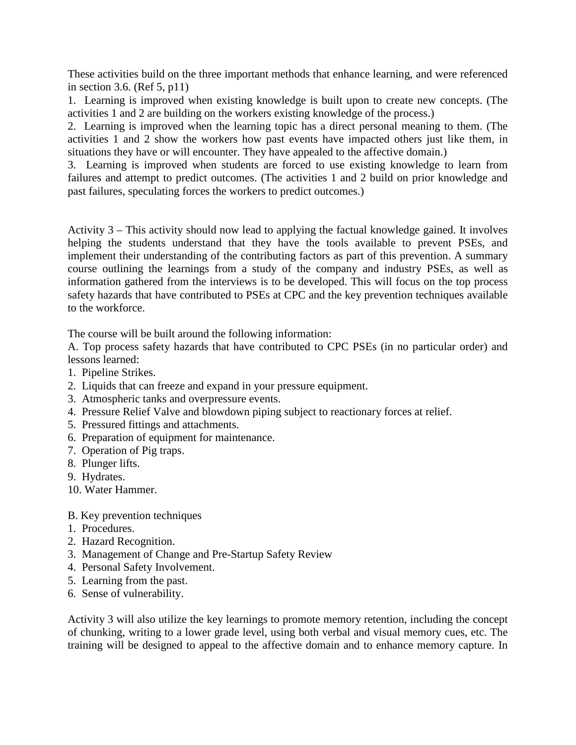These activities build on the three important methods that enhance learning, and were referenced in section 3.6. (Ref 5, p11)

1. Learning is improved when existing knowledge is built upon to create new concepts. (The activities 1 and 2 are building on the workers existing knowledge of the process.)

2. Learning is improved when the learning topic has a direct personal meaning to them. (The activities 1 and 2 show the workers how past events have impacted others just like them, in situations they have or will encounter. They have appealed to the affective domain.)

3. Learning is improved when students are forced to use existing knowledge to learn from failures and attempt to predict outcomes. (The activities 1 and 2 build on prior knowledge and past failures, speculating forces the workers to predict outcomes.)

Activity 3 – This activity should now lead to applying the factual knowledge gained. It involves helping the students understand that they have the tools available to prevent PSEs, and implement their understanding of the contributing factors as part of this prevention. A summary course outlining the learnings from a study of the company and industry PSEs, as well as information gathered from the interviews is to be developed. This will focus on the top process safety hazards that have contributed to PSEs at CPC and the key prevention techniques available to the workforce.

The course will be built around the following information:

A. Top process safety hazards that have contributed to CPC PSEs (in no particular order) and lessons learned:

- 1. Pipeline Strikes.
- 2. Liquids that can freeze and expand in your pressure equipment.
- 3. Atmospheric tanks and overpressure events.
- 4. Pressure Relief Valve and blowdown piping subject to reactionary forces at relief.
- 5. Pressured fittings and attachments.
- 6. Preparation of equipment for maintenance.
- 7. Operation of Pig traps.
- 8. Plunger lifts.
- 9. Hydrates.
- 10. Water Hammer.
- B. Key prevention techniques
- 1. Procedures.
- 2. Hazard Recognition.
- 3. Management of Change and Pre-Startup Safety Review
- 4. Personal Safety Involvement.
- 5. Learning from the past.
- 6. Sense of vulnerability.

Activity 3 will also utilize the key learnings to promote memory retention, including the concept of chunking, writing to a lower grade level, using both verbal and visual memory cues, etc. The training will be designed to appeal to the affective domain and to enhance memory capture. In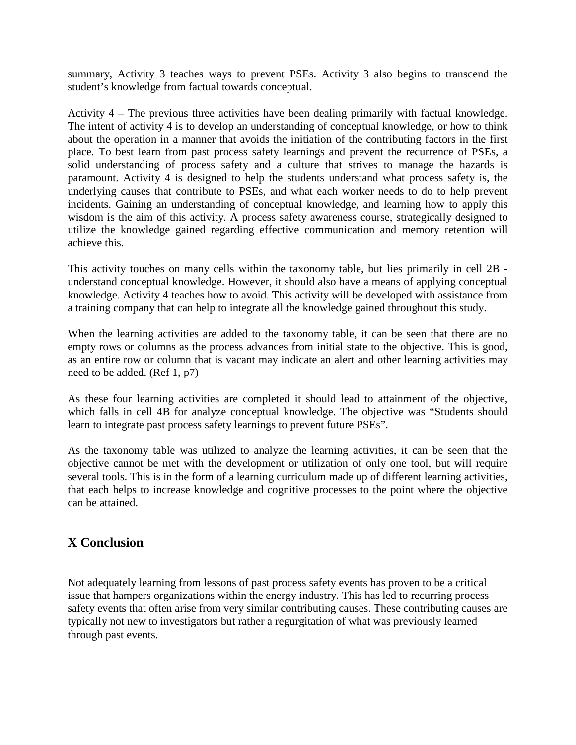summary, Activity 3 teaches ways to prevent PSEs. Activity 3 also begins to transcend the student's knowledge from factual towards conceptual.

Activity 4 – The previous three activities have been dealing primarily with factual knowledge. The intent of activity 4 is to develop an understanding of conceptual knowledge, or how to think about the operation in a manner that avoids the initiation of the contributing factors in the first place. To best learn from past process safety learnings and prevent the recurrence of PSEs, a solid understanding of process safety and a culture that strives to manage the hazards is paramount. Activity 4 is designed to help the students understand what process safety is, the underlying causes that contribute to PSEs, and what each worker needs to do to help prevent incidents. Gaining an understanding of conceptual knowledge, and learning how to apply this wisdom is the aim of this activity. A process safety awareness course, strategically designed to utilize the knowledge gained regarding effective communication and memory retention will achieve this.

This activity touches on many cells within the taxonomy table, but lies primarily in cell 2B understand conceptual knowledge. However, it should also have a means of applying conceptual knowledge. Activity 4 teaches how to avoid. This activity will be developed with assistance from a training company that can help to integrate all the knowledge gained throughout this study.

When the learning activities are added to the taxonomy table, it can be seen that there are no empty rows or columns as the process advances from initial state to the objective. This is good, as an entire row or column that is vacant may indicate an alert and other learning activities may need to be added. (Ref 1, p7)

As these four learning activities are completed it should lead to attainment of the objective, which falls in cell 4B for analyze conceptual knowledge. The objective was "Students should learn to integrate past process safety learnings to prevent future PSEs".

As the taxonomy table was utilized to analyze the learning activities, it can be seen that the objective cannot be met with the development or utilization of only one tool, but will require several tools. This is in the form of a learning curriculum made up of different learning activities, that each helps to increase knowledge and cognitive processes to the point where the objective can be attained.

## **X Conclusion**

Not adequately learning from lessons of past process safety events has proven to be a critical issue that hampers organizations within the energy industry. This has led to recurring process safety events that often arise from very similar contributing causes. These contributing causes are typically not new to investigators but rather a regurgitation of what was previously learned through past events.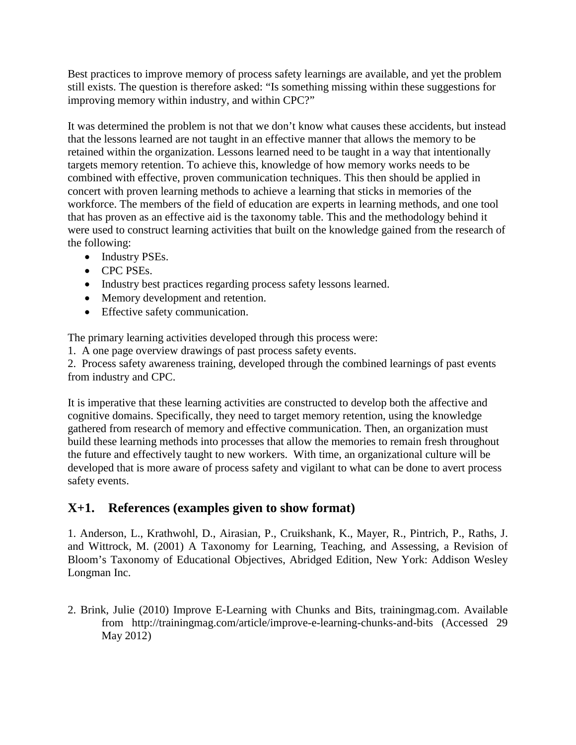Best practices to improve memory of process safety learnings are available, and yet the problem still exists. The question is therefore asked: "Is something missing within these suggestions for improving memory within industry, and within CPC?"

It was determined the problem is not that we don't know what causes these accidents, but instead that the lessons learned are not taught in an effective manner that allows the memory to be retained within the organization. Lessons learned need to be taught in a way that intentionally targets memory retention. To achieve this, knowledge of how memory works needs to be combined with effective, proven communication techniques. This then should be applied in concert with proven learning methods to achieve a learning that sticks in memories of the workforce. The members of the field of education are experts in learning methods, and one tool that has proven as an effective aid is the taxonomy table. This and the methodology behind it were used to construct learning activities that built on the knowledge gained from the research of the following:

- Industry PSEs.
- CPC PSEs.
- Industry best practices regarding process safety lessons learned.
- Memory development and retention.
- Effective safety communication.

The primary learning activities developed through this process were:

1. A one page overview drawings of past process safety events.

2. Process safety awareness training, developed through the combined learnings of past events from industry and CPC.

It is imperative that these learning activities are constructed to develop both the affective and cognitive domains. Specifically, they need to target memory retention, using the knowledge gathered from research of memory and effective communication. Then, an organization must build these learning methods into processes that allow the memories to remain fresh throughout the future and effectively taught to new workers. With time, an organizational culture will be developed that is more aware of process safety and vigilant to what can be done to avert process safety events.

## **X+1. References (examples given to show format)**

1. Anderson, L., Krathwohl, D., Airasian, P., Cruikshank, K., Mayer, R., Pintrich, P., Raths, J. and Wittrock, M. (2001) A Taxonomy for Learning, Teaching, and Assessing, a Revision of Bloom's Taxonomy of Educational Objectives, Abridged Edition, New York: Addison Wesley Longman Inc.

2. Brink, Julie (2010) Improve E-Learning with Chunks and Bits, trainingmag.com. Available from http://trainingmag.com/article/improve-e-learning-chunks-and-bits (Accessed 29 May 2012)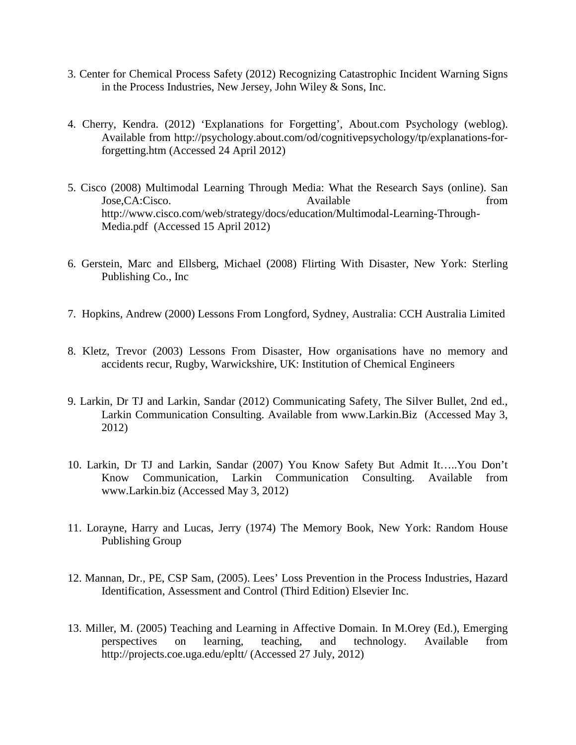- 3. Center for Chemical Process Safety (2012) Recognizing Catastrophic Incident Warning Signs in the Process Industries, New Jersey, John Wiley & Sons, Inc.
- 4. Cherry, Kendra. (2012) 'Explanations for Forgetting', About.com Psychology (weblog). Available from http://psychology.about.com/od/cognitivepsychology/tp/explanations-forforgetting.htm (Accessed 24 April 2012)
- 5. Cisco (2008) Multimodal Learning Through Media: What the Research Says (online). San Jose,CA:Cisco. Available from http://www.cisco.com/web/strategy/docs/education/Multimodal-Learning-Through-Media.pdf (Accessed 15 April 2012)
- 6. Gerstein, Marc and Ellsberg, Michael (2008) Flirting With Disaster, New York: Sterling Publishing Co., Inc
- 7. Hopkins, Andrew (2000) Lessons From Longford, Sydney, Australia: CCH Australia Limited
- 8. Kletz, Trevor (2003) Lessons From Disaster, How organisations have no memory and accidents recur, Rugby, Warwickshire, UK: Institution of Chemical Engineers
- 9. Larkin, Dr TJ and Larkin, Sandar (2012) Communicating Safety, The Silver Bullet, 2nd ed., Larkin Communication Consulting. Available from www.Larkin.Biz (Accessed May 3, 2012)
- 10. Larkin, Dr TJ and Larkin, Sandar (2007) You Know Safety But Admit It…..You Don't Know Communication, Larkin Communication Consulting. Available from www.Larkin.biz (Accessed May 3, 2012)
- 11. Lorayne, Harry and Lucas, Jerry (1974) The Memory Book, New York: Random House Publishing Group
- 12. Mannan, Dr., PE, CSP Sam, (2005). Lees' Loss Prevention in the Process Industries, Hazard Identification, Assessment and Control (Third Edition) Elsevier Inc.
- 13. Miller, M. (2005) Teaching and Learning in Affective Domain. In M.Orey (Ed.), Emerging perspectives on learning, teaching, and technology. Available from http://projects.coe.uga.edu/epltt/ (Accessed 27 July, 2012)